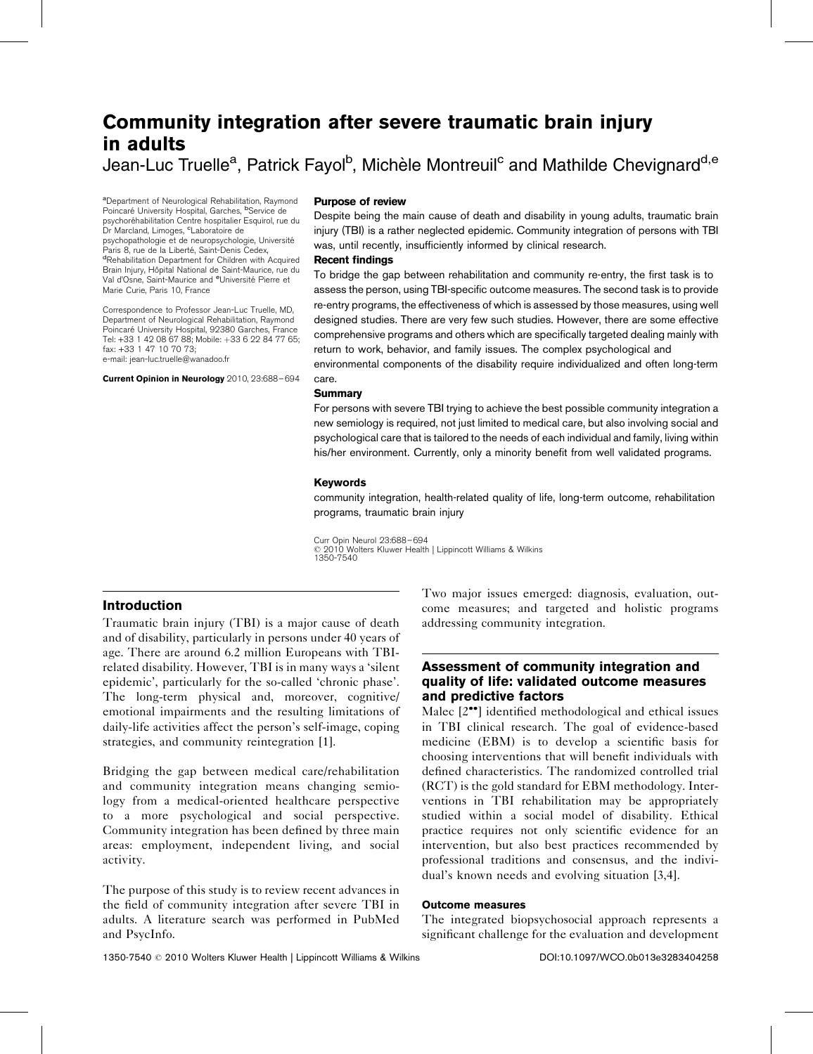# Community integration after severe traumatic brain injury in adults Jean-Luc Truelle<sup>a</sup>, Patrick Fayol<sup>b</sup>, Michèle Montreuil<sup>c</sup> and Mathilde Chevignard<sup>d,e</sup>

<sup>a</sup>Department of Neurological Rehabilitation, Raymond Poincaré University Hospital, Garches, <sup>b</sup>Service de psychoréhabilitation Centre hospitalier Esquirol, rue du .<br>Dr Marcland, Limoges, <sup>c</sup>Laboratoire de psychopathologie et de neuropsychologie, Université<br>Paris 8, rue de la Liberté, Saint-Denis Cedex,<br><sup>d</sup>Pehebilitation Depertment for Children with Acquire <sup>d</sup>Rehabilitation Department for Children with Acquired Brain Injury, Hôpital National de Saint-Maurice, rue du<br>Val d'Osne, Saint-Maurice and <sup>e</sup>Université Pierre et Marie Curie, Paris 10, France

Correspondence to Professor Jean-Luc Truelle, MD, Department of Neurological Rehabilitation, Raymond Poincaré University Hospital, 92380 Garches, France Tel: +33 1 42 08 67 88; Mobile: +33 6 22 84 77 65; fax: +33 1 47 10 70 73; e-mail: [jean-luc.truelle@wanadoo.fr](mailto:jean-luc.truelle@wanadoo.fr)

Current Opinion in Neurology 2010, 23:688–694

#### Purpose of review

Despite being the main cause of death and disability in young adults, traumatic brain injury (TBI) is a rather neglected epidemic. Community integration of persons with TBI was, until recently, insufficiently informed by clinical research.

#### Recent findings

To bridge the gap between rehabilitation and community re-entry, the first task is to assess the person, using TBI-specific outcome measures. The second task is to provide re-entry programs, the effectiveness of which is assessed by those measures, using well designed studies. There are very few such studies. However, there are some effective comprehensive programs and others which are specifically targeted dealing mainly with return to work, behavior, and family issues. The complex psychological and environmental components of the disability require individualized and often long-term care.

#### **Summary**

For persons with severe TBI trying to achieve the best possible community integration a new semiology is required, not just limited to medical care, but also involving social and psychological care that is tailored to the needs of each individual and family, living within his/her environment. Currently, only a minority benefit from well validated programs.

#### Keywords

community integration, health-related quality of life, long-term outcome, rehabilitation programs, traumatic brain injury

Curr Opin Neurol 23:688–694 2010 Wolters Kluwer Health | Lippincott Williams & Wilkins 1350-7540

# Introduction

Traumatic brain injury (TBI) is a major cause of death and of disability, particularly in persons under 40 years of age. There are around 6.2 million Europeans with TBIrelated disability. However, TBI is in many ways a 'silent epidemic', particularly for the so-called 'chronic phase'. The long-term physical and, moreover, cognitive/ emotional impairments and the resulting limitations of daily-life activities affect the person's self-image, coping strategies, and community reintegration [\[1\]](#page-4-0).

Bridging the gap between medical care/rehabilitation and community integration means changing semiology from a medical-oriented healthcare perspective to a more psychological and social perspective. Community integration has been defined by three main areas: employment, independent living, and social activity.

The purpose of this study is to review recent advances in the field of community integration after severe TBI in adults. A literature search was performed in PubMed and PsycInfo.

Two major issues emerged: diagnosis, evaluation, outcome measures; and targeted and holistic programs addressing community integration.

# Assessment of community integration and quality of life: validated outcome measures and predictive factors

Malec  $[2^{\bullet\bullet}]$  $[2^{\bullet\bullet}]$  $[2^{\bullet\bullet}]$  identified methodological and ethical issues in TBI clinical research. The goal of evidence-based medicine (EBM) is to develop a scientific basis for choosing interventions that will benefit individuals with defined characteristics. The randomized controlled trial (RCT) is the gold standard for EBM methodology. Interventions in TBI rehabilitation may be appropriately studied within a social model of disability. Ethical practice requires not only scientific evidence for an intervention, but also best practices recommended by professional traditions and consensus, and the individual's known needs and evolving situation [\[3,4\].](#page-4-0)

#### Outcome measures

The integrated biopsychosocial approach represents a significant challenge for the evaluation and development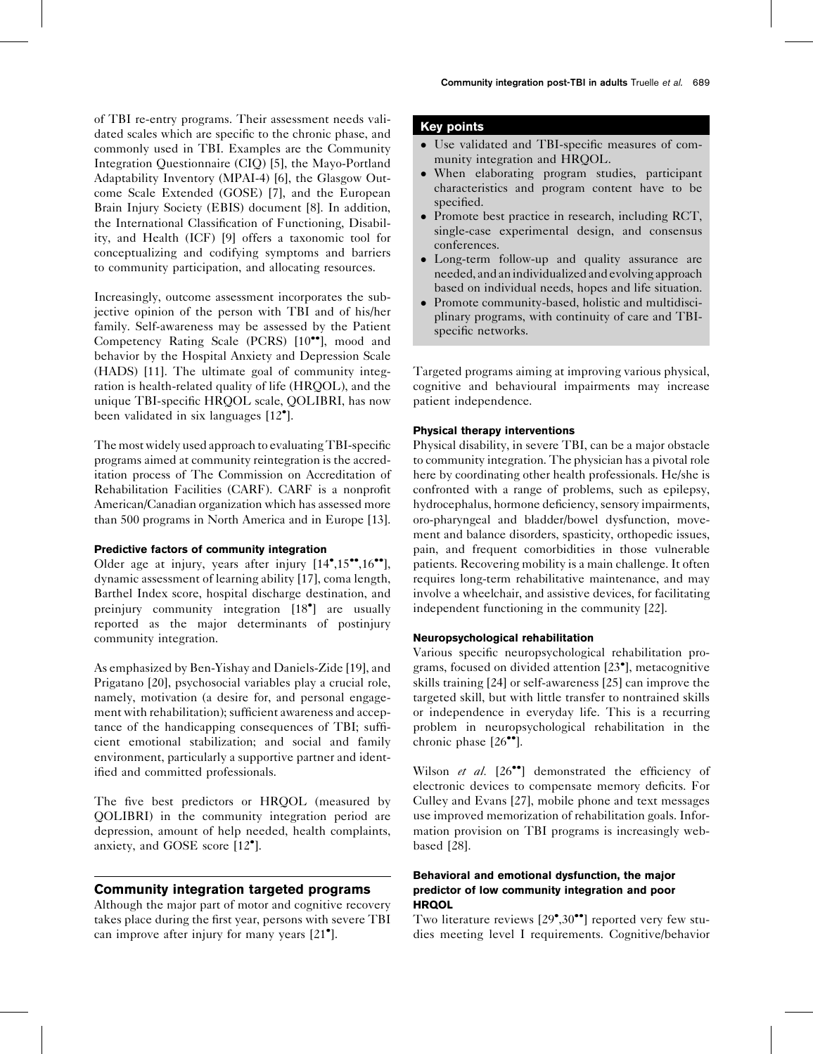of TBI re-entry programs. Their assessment needs validated scales which are specific to the chronic phase, and commonly used in TBI. Examples are the Community Integration Questionnaire (CIQ) [\[5\]](#page-4-0), the Mayo-Portland Adaptability Inventory (MPAI-4) [\[6\]](#page-4-0), the Glasgow Outcome Scale Extended (GOSE) [\[7\],](#page-4-0) and the European Brain Injury Society (EBIS) document [\[8\]](#page-4-0). In addition, the International Classification of Functioning, Disability, and Health (ICF) [\[9\]](#page-4-0) offers a taxonomic tool for conceptualizing and codifying symptoms and barriers to community participation, and allocating resources.

Increasingly, outcome assessment incorporates the subjective opinion of the person with TBI and of his/her family. Self-awareness may be assessed by the Patient Competency Rating Scale (PCRS) [\[10](#page-4-0)<sup>\*</sup>[\]](#page-4-0), mood and behavior by the Hospital Anxiety and Depression Scale (HADS) [\[11\]](#page-4-0). The ultimate goal of community integration is health-related quality of life (HRQOL), and the unique TBI-specific HRQOL scale, QOLIBRI, has now been validated in six languages [\[12](#page-4-0) [\]](#page-4-0).

The most widely used approach to evaluating TBI-specific programs aimed at community reintegration is the accreditation process of The Commission on Accreditation of Rehabilitation Facilities (CARF). CARF is a nonprofit American/Canadian organization which has assessed more than 500 programs in North America and in Europe [\[13\]](#page-4-0).

### Predictive factors of community integration

Older age at injury, years after injury  $[14^{\bullet}, 15^{\bullet \bullet}, 16^{\bullet \bullet}],$  $[14^{\bullet}, 15^{\bullet \bullet}, 16^{\bullet \bullet}],$  $[14^{\bullet}, 15^{\bullet \bullet}, 16^{\bullet \bullet}],$  $[14^{\bullet}, 15^{\bullet \bullet}, 16^{\bullet \bullet}],$ dynamic assessment of learning ability [\[17\]](#page-4-0), coma length, Barthel Index score, hospital discharge destination, and preinjury community integration [\[18](#page-4-0)<sup>°</sup>[\]](#page-4-0) are usually reported as the major determinants of postinjury community integration.

As emphasized by Ben-Yishay and Daniels-Zide [\[19\],](#page-4-0) and Prigatano [\[20\],](#page-4-0) psychosocial variables play a crucial role, namely, motivation (a desire for, and personal engagement with rehabilitation); sufficient awareness and acceptance of the handicapping consequences of TBI; sufficient emotional stabilization; and social and family environment, particularly a supportive partner and identified and committed professionals.

The five best predictors or HRQOL (measured by QOLIBRI) in the community integration period are depression, amount of help needed, health complaints, anxiety, and GOSE score [\[12](#page-4-0)<sup>°</sup>[\]](#page-4-0).

# Community integration targeted programs

Although the major part of motor and cognitive recovery takes place during the first year, persons with severe TBI can improve after injury for many years [\[21](#page-5-0)<sup>°</sup>[\].](#page-5-0)

# Key points

- Use validated and TBI-specific measures of community integration and HRQOL.
- When elaborating program studies, participant characteristics and program content have to be specified.
- Promote best practice in research, including RCT, single-case experimental design, and consensus conferences.
- Long-term follow-up and quality assurance are needed, and an individualized and evolving approach based on individual needs, hopes and life situation.
- Promote community-based, holistic and multidisciplinary programs, with continuity of care and TBIspecific networks.

Targeted programs aiming at improving various physical, cognitive and behavioural impairments may increase patient independence.

# Physical therapy interventions

Physical disability, in severe TBI, can be a major obstacle to community integration. The physician has a pivotal role here by coordinating other health professionals. He/she is confronted with a range of problems, such as epilepsy, hydrocephalus, hormone deficiency, sensory impairments, oro-pharyngeal and bladder/bowel dysfunction, movement and balance disorders, spasticity, orthopedic issues, pain, and frequent comorbidities in those vulnerable patients. Recovering mobility is a main challenge. It often requires long-term rehabilitative maintenance, and may involve a wheelchair, and assistive devices, for facilitating independent functioning in the community [\[22\]](#page-5-0).

# Neuropsychological rehabilitation

Various specific neuropsychological rehabilitation programs, focused on divided attention [\[23](#page-5-0) [\],](#page-5-0) metacognitive skills training [\[24\]](#page-5-0) or self-awareness [\[25\]](#page-5-0) can improve the targeted skill, but with little transfer to nontrained skills or independence in everyday life. This is a recurring problem in neuropsychological rehabilitation in the chronic phase  $[26$ <sup> $\bullet$ </sup> $]$ .

Wilson et al.  $[26$ <sup>\*\*</sup>[\]](#page-5-0) demonstrated the efficiency of electronic devices to compensate memory deficits. For Culley and Evans [\[27\],](#page-5-0) mobile phone and text messages use improved memorization of rehabilitation goals. Information provision on TBI programs is increasingly webbased [\[28\]](#page-5-0).

# Behavioral and emotional dysfunction, the major predictor of low community integration and poor **HROOL**

Two literature reviews  $[29^{\bullet}, 30^{\bullet\bullet}]$  $[29^{\bullet}, 30^{\bullet\bullet}]$  $[29^{\bullet}, 30^{\bullet\bullet}]$  reported very few studies meeting level I requirements. Cognitive/behavior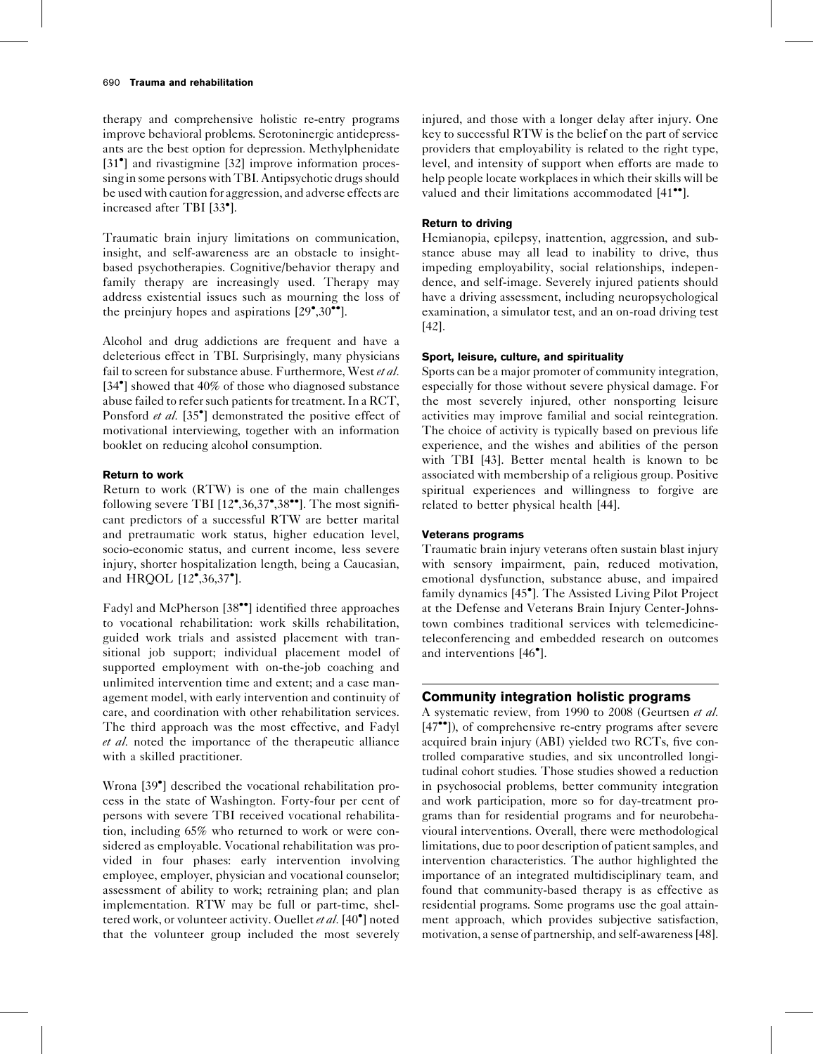therapy and comprehensive holistic re-entry programs improve behavioral problems. Serotoninergic antidepressants are the best option for depression. Methylphenidate [\[31](#page-5-0)<sup>°</sup>[\]](#page-5-0) and rivastigmine [\[32\]](#page-5-0) improve information processing in some persons with TBI. Antipsychotic drugs should be used with caution for aggression, and adverse effects are increased after TBI [\[33](#page-5-0)<sup>°</sup>[\].](#page-5-0)

Traumatic brain injury limitations on communication, insight, and self-awareness are an obstacle to insightbased psychotherapies. Cognitive/behavior therapy and family therapy are increasingly used. Therapy may address existential issues such as mourning the loss of the preinjury hopes and aspirations  $[29^{\bullet}, 30^{\bullet \bullet}]$  $[29^{\bullet}, 30^{\bullet \bullet}]$ .

Alcohol and drug addictions are frequent and have a deleterious effect in TBI. Surprisingly, many physicians fail to screen for substance abuse. Furthermore, West *et al.* [\[34](#page-5-0)<sup>°</sup>[\]](#page-5-0) showed that 40% of those who diagnosed substance abuse failed to refer such patients for treatment. In a RCT, Ponsford et al. [\[35](#page-5-0)<sup>\*</sup>[\]](#page-5-0) demonstrated the positive effect of motivational interviewing, together with an information booklet on reducing alcohol consumption.

### Return to work

Return to work (RTW) is one of the main challenges following severe TBI  $[12^{\bullet}, 36, 37^{\bullet}, 38^{\bullet \bullet}]$  $[12^{\bullet}, 36, 37^{\bullet}, 38^{\bullet \bullet}]$  $[12^{\bullet}, 36, 37^{\bullet}, 38^{\bullet \bullet}]$ . The most significant predictors of a successful RTW are better marital and pretraumatic work status, higher education level, socio-economic status, and current income, less severe injury, shorter hospitalization length, being a Caucasian, and HRQOL [\[12](#page-4-0)<sup>•</sup>[,36,37](#page-4-0)<sup>•</sup>[\]](#page-4-0).

Fadyl and McPherson [\[38](#page-5-0)<sup>••</sup>[\]](#page-5-0) identified three approaches to vocational rehabilitation: work skills rehabilitation, guided work trials and assisted placement with transitional job support; individual placement model of supported employment with on-the-job coaching and unlimited intervention time and extent; and a case management model, with early intervention and continuity of care, and coordination with other rehabilitation services. The third approach was the most effective, and Fadyl et al. noted the importance of the therapeutic alliance with a skilled practitioner.

Wrona [\[39](#page-5-0) [\]](#page-5-0) described the vocational rehabilitation process in the state of Washington. Forty-four per cent of persons with severe TBI received vocational rehabilitation, including 65% who returned to work or were considered as employable. Vocational rehabilitation was provided in four phases: early intervention involving employee, employer, physician and vocational counselor; assessment of ability to work; retraining plan; and plan implementation. RTW may be full or part-time, shel-tered work, or volunteer activity. Ouellet et al. [\[40](#page-5-0)<sup>°</sup>[\]](#page-5-0) noted that the volunteer group included the most severely injured, and those with a longer delay after injury. One key to successful RTW is the belief on the part of service providers that employability is related to the right type, level, and intensity of support when efforts are made to help people locate workplaces in which their skills will be valued and their limitations accommodated [\[41](#page-5-0)<sup> $\bullet$ </sup>[\]](#page-5-0).

### Return to driving

Hemianopia, epilepsy, inattention, aggression, and substance abuse may all lead to inability to drive, thus impeding employability, social relationships, independence, and self-image. Severely injured patients should have a driving assessment, including neuropsychological examination, a simulator test, and an on-road driving test [\[42\]](#page-5-0).

### Sport, leisure, culture, and spirituality

Sports can be a major promoter of community integration, especially for those without severe physical damage. For the most severely injured, other nonsporting leisure activities may improve familial and social reintegration. The choice of activity is typically based on previous life experience, and the wishes and abilities of the person with TBI [\[43\].](#page-5-0) Better mental health is known to be associated with membership of a religious group. Positive spiritual experiences and willingness to forgive are related to better physical health [\[44\]](#page-5-0).

# Veterans programs

Traumatic brain injury veterans often sustain blast injury with sensory impairment, pain, reduced motivation, emotional dysfunction, substance abuse, and impaired family dynamics [\[45](#page-5-0)<sup>°</sup>[\]](#page-5-0). The Assisted Living Pilot Project at the Defense and Veterans Brain Injury Center-Johnstown combines traditional services with telemedicineteleconferencing and embedded research on outcomes and interventions [\[46](#page-5-0)<sup>°</sup>[\]](#page-5-0).

# Community integration holistic programs

A systematic review, from 1990 to 2008 (Geurtsen et al. [\[47](#page-5-0)<sup> $\bullet$ </sup>[\]\)](#page-5-0), of comprehensive re-entry programs after severe acquired brain injury (ABI) yielded two RCTs, five controlled comparative studies, and six uncontrolled longitudinal cohort studies. Those studies showed a reduction in psychosocial problems, better community integration and work participation, more so for day-treatment programs than for residential programs and for neurobehavioural interventions. Overall, there were methodological limitations, due to poor description of patient samples, and intervention characteristics. The author highlighted the importance of an integrated multidisciplinary team, and found that community-based therapy is as effective as residential programs. Some programs use the goal attainment approach, which provides subjective satisfaction, motivation, a sense of partnership, and self-awareness [\[48\].](#page-5-0)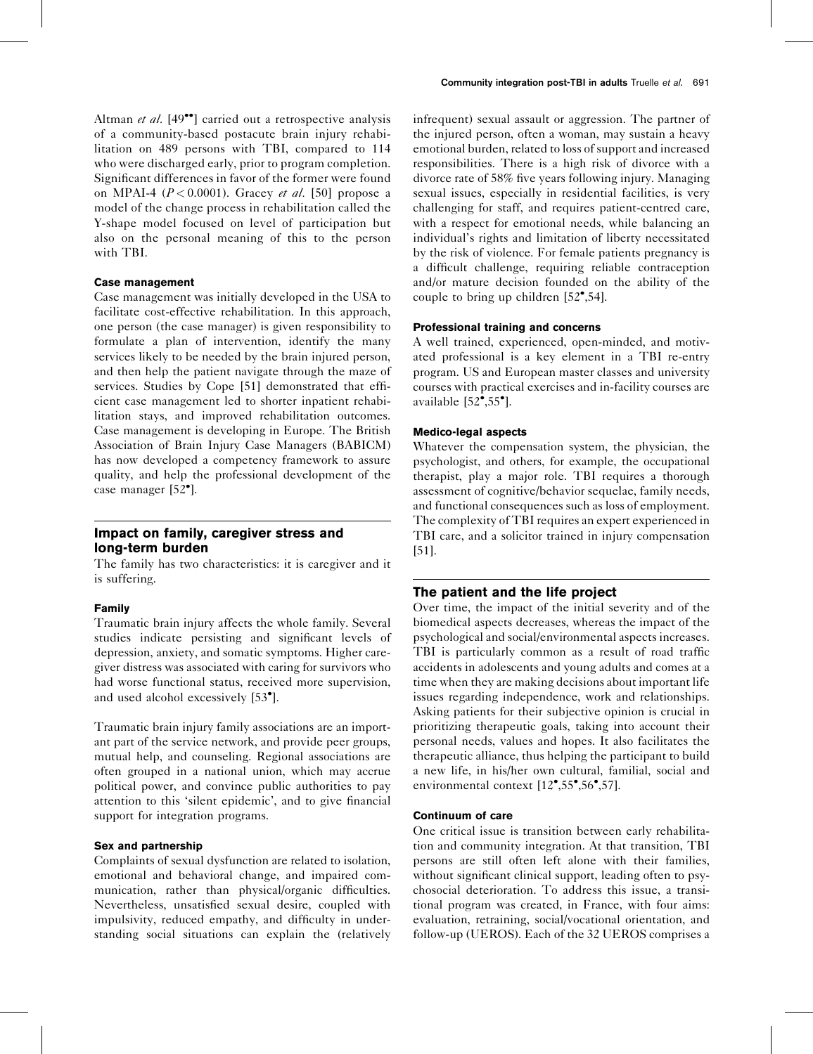Altman et al.  $[49\bullet]$  $[49\bullet]$  $[49\bullet]$  carried out a retrospective analysis of a community-based postacute brain injury rehabilitation on 489 persons with TBI, compared to 114 who were discharged early, prior to program completion. Significant differences in favor of the former were found on MPAI-4 ( $P < 0.0001$ ). Gracey *et al.* [\[50\]](#page-5-0) propose a model of the change process in rehabilitation called the Y-shape model focused on level of participation but also on the personal meaning of this to the person with TBI.

#### Case management

Case management was initially developed in the USA to facilitate cost-effective rehabilitation. In this approach, one person (the case manager) is given responsibility to formulate a plan of intervention, identify the many services likely to be needed by the brain injured person, and then help the patient navigate through the maze of services. Studies by Cope [\[51\]](#page-5-0) demonstrated that efficient case management led to shorter inpatient rehabilitation stays, and improved rehabilitation outcomes. Case management is developing in Europe. The British Association of Brain Injury Case Managers (BABICM) has now developed a competency framework to assure quality, and help the professional development of the case manager [\[52](#page-5-0)°[\].](#page-5-0)

### Impact on family, caregiver stress and long-term burden

The family has two characteristics: it is caregiver and it is suffering.

#### Family

Traumatic brain injury affects the whole family. Several studies indicate persisting and significant levels of depression, anxiety, and somatic symptoms. Higher caregiver distress was associated with caring for survivors who had worse functional status, received more supervision, and used alcohol excessively [\[53](#page-6-0)<sup>°</sup>[\].](#page-6-0)

Traumatic brain injury family associations are an important part of the service network, and provide peer groups, mutual help, and counseling. Regional associations are often grouped in a national union, which may accrue political power, and convince public authorities to pay attention to this 'silent epidemic', and to give financial support for integration programs.

#### Sex and partnership

Complaints of sexual dysfunction are related to isolation, emotional and behavioral change, and impaired communication, rather than physical/organic difficulties. Nevertheless, unsatisfied sexual desire, coupled with impulsivity, reduced empathy, and difficulty in understanding social situations can explain the (relatively infrequent) sexual assault or aggression. The partner of the injured person, often a woman, may sustain a heavy emotional burden, related to loss of support and increased responsibilities. There is a high risk of divorce with a divorce rate of 58% five years following injury. Managing sexual issues, especially in residential facilities, is very challenging for staff, and requires patient-centred care, with a respect for emotional needs, while balancing an individual's rights and limitation of liberty necessitated by the risk of violence. For female patients pregnancy is a difficult challenge, requiring reliable contraception and/or mature decision founded on the ability of the couple to bring up children [\[52](#page-5-0)°[,54\].](#page-5-0)

### Professional training and concerns

A well trained, experienced, open-minded, and motivated professional is a key element in a TBI re-entry program. US and European master classes and university courses with practical exercises and in-facility courses are available  $[52^{\bullet}, 55^{\bullet}]$  $[52^{\bullet}, 55^{\bullet}]$  $[52^{\bullet}, 55^{\bullet}]$ .

#### Medico-legal aspects

Whatever the compensation system, the physician, the psychologist, and others, for example, the occupational therapist, play a major role. TBI requires a thorough assessment of cognitive/behavior sequelae, family needs, and functional consequences such as loss of employment. The complexity of TBI requires an expert experienced in TBI care, and a solicitor trained in injury compensation [\[51\].](#page-5-0)

### The patient and the life project

Over time, the impact of the initial severity and of the biomedical aspects decreases, whereas the impact of the psychological and social/environmental aspects increases. TBI is particularly common as a result of road traffic accidents in adolescents and young adults and comes at a time when they are making decisions about important life issues regarding independence, work and relationships. Asking patients for their subjective opinion is crucial in prioritizing therapeutic goals, taking into account their personal needs, values and hopes. It also facilitates the therapeutic alliance, thus helping the participant to build a new life, in his/her own cultural, familial, social and environmental context [\[12](#page-4-0)<sup>°</sup>[,55](#page-4-0)<sup>°</sup>[,56](#page-4-0)<sup>°</sup>[,57\].](#page-4-0)

#### Continuum of care

One critical issue is transition between early rehabilitation and community integration. At that transition, TBI persons are still often left alone with their families, without significant clinical support, leading often to psychosocial deterioration. To address this issue, a transitional program was created, in France, with four aims: evaluation, retraining, social/vocational orientation, and follow-up (UEROS). Each of the 32 UEROS comprises a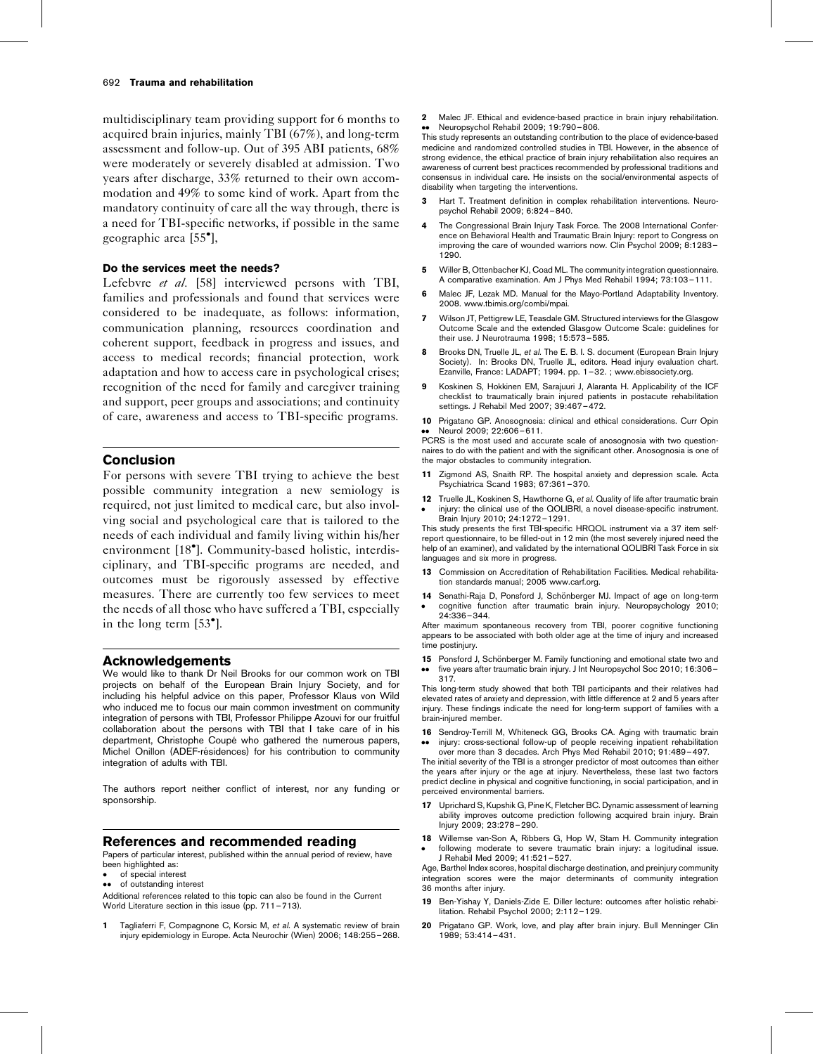<span id="page-4-0"></span>multidisciplinary team providing support for 6 months to acquired brain injuries, mainly TBI (67%), and long-term assessment and follow-up. Out of 395 ABI patients, 68% were moderately or severely disabled at admission. Two years after discharge, 33% returned to their own accommodation and 49% to some kind of work. Apart from the mandatory continuity of care all the way through, there is a need for TBI-specific networks, if possible in the same geographic area [\[55](#page-6-0) [\]](#page-6-0),

#### Do the services meet the needs?

Lefebvre et al. [\[58\]](#page-6-0) interviewed persons with TBI, families and professionals and found that services were considered to be inadequate, as follows: information, communication planning, resources coordination and coherent support, feedback in progress and issues, and access to medical records; financial protection, work adaptation and how to access care in psychological crises; recognition of the need for family and caregiver training and support, peer groups and associations; and continuity of care, awareness and access to TBI-specific programs.

#### Conclusion

For persons with severe TBI trying to achieve the best possible community integration a new semiology is required, not just limited to medical care, but also involving social and psychological care that is tailored to the needs of each individual and family living within his/her environment [18<sup>°</sup>]. Community-based holistic, interdisciplinary, and TBI-specific programs are needed, and outcomes must be rigorously assessed by effective measures. There are currently too few services to meet the needs of all those who have suffered a TBI, especially in the long term  $[53<sup>•</sup>]$  $[53<sup>•</sup>]$ .

#### Acknowledgements

We would like to thank Dr Neil Brooks for our common work on TBI projects on behalf of the European Brain Injury Society, and for including his helpful advice on this paper, Professor Klaus von Wild who induced me to focus our main common investment on community integration of persons with TBI, Professor Philippe Azouvi for our fruitful collaboration about the persons with TBI that I take care of in his department, Christophe Coupé who gathered the numerous papers, Michel Onillon (ADEF-résidences) for his contribution to community integration of adults with TBI.

The authors report neither conflict of interest, nor any funding or sponsorship.

#### References and recommended reading

Papers of particular interest, published within the annual period of review, have been highlighted as:

- of special interest
- of outstanding interest

Additional references related to this topic can also be found in the Current World Literature section in this issue (pp. 711-713).

1 Tagliaferri F, Compagnone C, Korsic M, et al. A systematic review of brain injury epidemiology in Europe. Acta Neurochir (Wien) 2006; 148:255–268.

2  $\bullet \bullet$ Malec JF. Ethical and evidence-based practice in brain injury rehabilitation. Neuropsychol Rehabil 2009; 19:790–806.

This study represents an outstanding contribution to the place of evidence-based medicine and randomized controlled studies in TBI. However, in the absence of strong evidence, the ethical practice of brain injury rehabilitation also requires an awareness of current best practices recommended by professional traditions and consensus in individual care. He insists on the social/environmental aspects of disability when targeting the interventions.

- 3 Hart T. Treatment definition in complex rehabilitation interventions. Neuropsychol Rehabil 2009; 6:824–840.
- The Congressional Brain Injury Task Force. The 2008 International Conference on Behavioral Health and Traumatic Brain Injury: report to Congress on improving the care of wounded warriors now. Clin Psychol 2009; 8:1283– 1290.
- 5 Willer B, Ottenbacher KJ, Coad ML. The community integration questionnaire. A comparative examination. Am J Phys Med Rehabil 1994; 73:103–111.
- Malec JF, Lezak MD. Manual for the Mayo-Portland Adaptability Inventory. 2008. [www.tbimis.org/combi/mpai](http://www.tbimis.org/combi/mpai).
- 7 Wilson JT, Pettigrew LE, Teasdale GM. Structured interviews for the Glasgow Outcome Scale and the extended Glasgow Outcome Scale: guidelines for their use. J Neurotrauma 1998; 15:573–585.
- 8 Brooks DN, Truelle JL, et al. The E. B. I. S. document (European Brain Injury Society). In: Brooks DN, Truelle JL, editors. Head injury evaluation chart. Ezanville, France: LADAPT; 1994. pp. 1–32. ; [www.ebissociety.org.](http://www.ebissociety.org/)
- 9 Koskinen S, Hokkinen EM, Sarajuuri J, Alaranta H. Applicability of the ICF checklist to traumatically brain injured patients in postacute rehabilitation settings. J Rehabil Med 2007; 39:467–472.
- 10 Prigatano GP. Anosognosia: clinical and ethical considerations. Curr Opin .. Neurol 2009; 22:606–611.

PCRS is the most used and accurate scale of anosognosia with two questionnaires to do with the patient and with the significant other. Anosognosia is one of the major obstacles to community integration.

- 11 Zigmond AS, Snaith RP. The hospital anxiety and depression scale. Acta Psychiatrica Scand 1983; 67:361–370.
- 12 Truelle JL, Koskinen S, Hawthorne G, et al. Quality of life after traumatic brain  $\bullet$ injury: the clinical use of the QOLIBRI, a novel disease-specific instrument. Brain Injury 2010; 24:1272–1291.

This study presents the first TBI-specific HRQOL instrument via a 37 item selfreport questionnaire, to be filled-out in 12 min (the most severely injured need the help of an examiner), and validated by the international QOLIBRI Task Force in six languages and six more in progress.

- 13 Commission on Accreditation of Rehabilitation Facilities. Medical rehabilitation standards manual; 2005 [www.carf.org](http://www.carf.org/).
- 14 Senathi-Raja D, Ponsford J, Schönberger MJ. Impact of age on long-term  $\bullet$ cognitive function after traumatic brain injury. Neuropsychology 2010; 24:336–344.

After maximum spontaneous recovery from TBI, poorer cognitive functioning appears to be associated with both older age at the time of injury and increased time postinjury.

15 Ponsford J, Schönberger M. Family functioning and emotional state two and  $\bullet$ five years after traumatic brain injury. J Int Neuropsychol Soc 2010; 16:306– 317.

This long-term study showed that both TBI participants and their relatives had elevated rates of anxiety and depression, with little difference at 2 and 5 years after injury. These findings indicate the need for long-term support of families with a brain-injured member.

16 Sendroy-Terrill M, Whiteneck GG, Brooks CA. Aging with traumatic brain  $\bullet$ injury: cross-sectional follow-up of people receiving inpatient rehabilitation over more than 3 decades. Arch Phys Med Rehabil 2010; 91:489–497.

The initial severity of the TBI is a stronger predictor of most outcomes than either the years after injury or the age at injury. Nevertheless, these last two factors predict decline in physical and cognitive functioning, in social participation, and in perceived environmental barriers.

- 17 Uprichard S, Kupshik G, Pine K, Fletcher BC. Dynamic assessment of learning ability improves outcome prediction following acquired brain injury. Brain Injury 2009; 23:278–290.
- 18 Willemse van-Son A, Ribbers G, Hop W, Stam H. Community integration  $\bullet$ following moderate to severe traumatic brain injury: a logitudinal issue. J Rehabil Med 2009; 41:521–527.

Age, Barthel Index scores, hospital discharge destination, and preinjury community integration scores were the major determinants of community integration 36 months after injury.

- 19 Ben-Yishay Y, Daniels-Zide E. Diller lecture: outcomes after holistic rehabilitation. Rehabil Psychol 2000; 2:112–129.
- 20 Prigatano GP. Work, love, and play after brain injury. Bull Menninger Clin 1989; 53:414–431.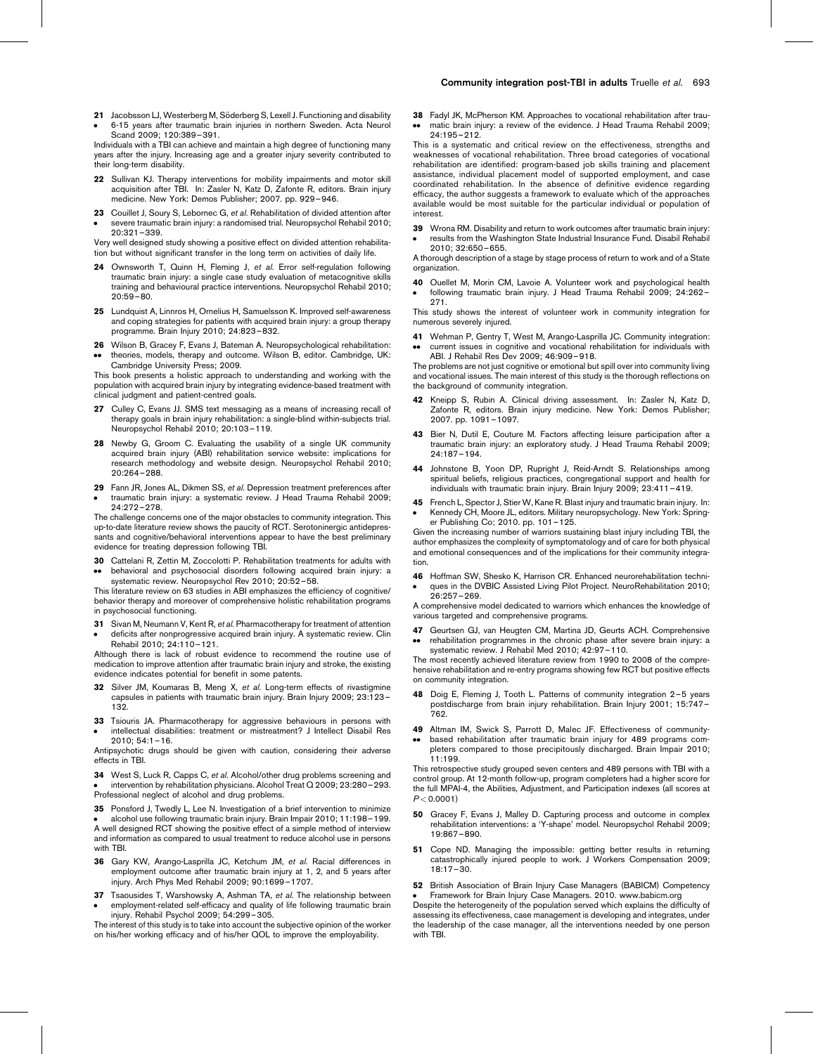<span id="page-5-0"></span>21 Jacobsson LJ, Westerberg M, Söderberg S, Lexell J. Functioning and disability  $\bullet$ 6-15 years after traumatic brain injuries in northern Sweden. Acta Neurol Scand 2009; 120:389–391.

Individuals with a TBI can achieve and maintain a high degree of functioning many years after the injury. Increasing age and a greater injury severity contributed to their long-term disability.

- 22 Sullivan KJ. Therapy interventions for mobility impairments and motor skill acquisition after TBI. In: Zasler N, Katz D, Zafonte R, editors. Brain injury medicine. New York: Demos Publisher; 2007. pp. 929–946.
- 23 Couillet J, Soury S, Lebornec G, et al. Rehabilitation of divided attention after  $\bullet$ severe traumatic brain injury: a randomised trial. Neuropsychol Rehabil 2010; 20:321–339.

Very well designed study showing a positive effect on divided attention rehabilitation but without significant transfer in the long term on activities of daily life.

- 24 Ownsworth T, Quinn H, Fleming J, et al. Error self-regulation following traumatic brain injury: a single case study evaluation of metacognitive skills training and behavioural practice interventions. Neuropsychol Rehabil 2010; 20:59–80.
- 25 Lundquist A, Linnros H, Ornelius H, Samuelsson K. Improved self-awareness and coping strategies for patients with acquired brain injury: a group therapy programme. Brain Injury 2010; 24:823–832.
- 26 Wilson B, Gracey F, Evans J, Bateman A. Neuropsychological rehabilitation: .. theories, models, therapy and outcome. Wilson B, editor. Cambridge, UK:
- Cambridge University Press; 2009. This book presents a holistic approach to understanding and working with the

population with acquired brain injury by integrating evidence-based treatment with clinical judgment and patient-centred goals.

- 27 Culley C, Evans JJ. SMS text messaging as a means of increasing recall of therapy goals in brain injury rehabilitation: a single-blind within-subjects trial. Neuropsychol Rehabil 2010; 20:103–119.
- 28 Newby G, Groom C. Evaluating the usability of a single UK community acquired brain injury (ABI) rehabilitation service website: implications for research methodology and website design. Neuropsychol Rehabil 2010; 20:264–288.
- 29 Fann JR, Jones AL, Dikmen SS, et al. Depression treatment preferences after  $\bullet$ traumatic brain injury: a systematic review. J Head Trauma Rehabil 2009;

24:272–278. The challenge concerns one of the major obstacles to community integration. This up-to-date literature review shows the paucity of RCT. Serotoninergic antidepressants and cognitive/behavioral interventions appear to have the best preliminary evidence for treating depression following TBI.

30 Cattelani R, Zettin M, Zoccolotti P. Rehabilitation treatments for adults with .. behavioral and psychosocial disorders following acquired brain injury: a systematic review. Neuropsychol Rev 2010; 20:52–58.

This literature review on 63 studies in ABI emphasizes the efficiency of cognitive/ behavior therapy and moreover of comprehensive holistic rehabilitation programs in psychosocial functioning.

31 Sivan M, Neumann V, Kent R, et al. Pharmacotherapy for treatment of attention  $\bullet$ deficits after nonprogressive acquired brain injury. A systematic review. Clin

Rehabil 2010; 24:110–121. Although there is lack of robust evidence to recommend the routine use of medication to improve attention after traumatic brain injury and stroke, the existing evidence indicates potential for benefit in some patents.

- 32 Silver JM, Koumaras B, Meng X, et al. Long-term effects of rivastigmine capsules in patients with traumatic brain injury. Brain Injury 2009; 23:123– 132.
- 33  $\bullet$ Tsiouris JA. Pharmacotherapy for aggressive behaviours in persons with intellectual disabilities: treatment or mistreatment? J Intellect Disabil Res 2010; 54:1–16.

Antipsychotic drugs should be given with caution, considering their adverse effects in TBI.

34 West S, Luck R, Capps C, et al. Alcohol/other drug problems screening and  $\bullet$ intervention by rehabilitation physicians. Alcohol Treat Q 2009; 23:280–293. Professional neglect of alcohol and drug problems.

35 Ponsford J, Twedly L, Lee N. Investigation of a brief intervention to minimize  $\bullet$ alcohol use following traumatic brain injury. Brain Impair 2010; 11:198–199.

A well designed RCT showing the positive effect of a simple method of interview and information as compared to usual treatment to reduce alcohol use in persons with TBI.

- 36 Gary KW, Arango-Lasprilla JC, Ketchum JM, et al. Racial differences in employment outcome after traumatic brain injury at 1, 2, and 5 years after injury. Arch Phys Med Rehabil 2009; 90:1699–1707.
- 37  $\bullet$ Tsaousides T, Warshowsky A, Ashman TA, et al. The relationship between employment-related self-efficacy and quality of life following traumatic brain injury. Rehabil Psychol 2009; 54:299–305.

The interest of this study is to take into account the subjective opinion of the worker on his/her working efficacy and of his/her QOL to improve the employability.

38 Fadyl JK, McPherson KM. Approaches to vocational rehabilitation after trau- $\bullet \bullet$ matic brain injury: a review of the evidence. J Head Trauma Rehabil 2009; 24:195–212.

This is a systematic and critical review on the effectiveness, strengths and weaknesses of vocational rehabilitation. Three broad categories of vocational rehabilitation are identified: program-based job skills training and placement assistance, individual placement model of supported employment, and case coordinated rehabilitation. In the absence of definitive evidence regarding efficacy, the author suggests a framework to evaluate which of the approaches available would be most suitable for the particular individual or population of interest.

39 Wrona RM. Disability and return to work outcomes after traumatic brain injury:  $\bullet$ results from the Washington State Industrial Insurance Fund. Disabil Rehabil 2010; 32:650–655.

A thorough description of a stage by stage process of return to work and of a State organization.

40 Ouellet M, Morin CM, Lavoie A. Volunteer work and psychological health  $\bullet$ following traumatic brain injury. J Head Trauma Rehabil 2009; 24:262– 271.

This study shows the interest of volunteer work in community integration for numerous severely injured.

- 41 Wehman P, Gentry T, West M, Arango-Lasprilla JC. Community integration: .. current issues in cognitive and vocational rehabilitation for individuals with
- ABI. J Rehabil Res Dev 2009; 46:909–918. The problems are not just cognitive or emotional but spill over into community living

and vocational issues. The main interest of this study is the thorough reflections on the background of community integration.

- 42 Kneipp S, Rubin A. Clinical driving assessment. In: Zasler N, Katz D, Zafonte R, editors. Brain injury medicine. New York: Demos Publisher; 2007. pp. 1091–1097.
- 43 Bier N, Dutil E, Couture M. Factors affecting leisure participation after a traumatic brain injury: an exploratory study. J Head Trauma Rehabil 2009; 24:187–194.
- 44 Johnstone B, Yoon DP, Rupright J, Reid-Arndt S. Relationships among spiritual beliefs, religious practices, congregational support and health for individuals with traumatic brain injury. Brain Injury 2009; 23:411–419.
- 45 French L, Spector J, Stier W, Kane R. Blast injury and traumatic brain injury. In:  $\bullet$ Kennedy CH, Moore JL, editors. Military neuropsychology. New York: Springer Publishing Co; 2010. pp. 101–125.

Given the increasing number of warriors sustaining blast injury including TBI, the author emphasizes the complexity of symptomatology and of care for both physical and emotional consequences and of the implications for their community integration.

46 Hoffman SW, Shesko K, Harrison CR. Enhanced neurorehabilitation techni- $\bullet$ ques in the DVBIC Assisted Living Pilot Project. NeuroRehabilitation 2010; 26:257–269.

A comprehensive model dedicated to warriors which enhances the knowledge of various targeted and comprehensive programs.

47 Geurtsen GJ, van Heugten CM, Martina JD, Geurts ACH. Comprehensive  $\bullet \bullet$ rehabilitation programmes in the chronic phase after severe brain injury: a systematic review. J Rehabil Med 2010; 42:97–110.

The most recently achieved literature review from 1990 to 2008 of the comprehensive rehabilitation and re-entry programs showing few RCT but positive effects on community integration.

- 48 Doig E, Fleming J, Tooth L. Patterns of community integration 2–5 years postdischarge from brain injury rehabilitation. Brain Injury 2001; 15:747-762.
- 49 Altman IM, Swick S, Parrott D, Malec JF. Effectiveness of community-
- .. based rehabilitation after traumatic brain injury for 489 programs completers compared to those precipitously discharged. Brain Impair 2010; 11:199.

This retrospective study grouped seven centers and 489 persons with TBI with a control group. At 12-month follow-up, program completers had a higher score for the full MPAI-4, the Abilities, Adjustment, and Participation indexes (all scores at  $P < 0.0001$ )

- 50 Gracey F, Evans J, Malley D. Capturing process and outcome in complex rehabilitation interventions: a 'Y-shape' model. Neuropsychol Rehabil 2009; 19:867–890.
- 51 Cope ND. Managing the impossible: getting better results in returning catastrophically injured people to work. J Workers Compensation 2009; 18:17–30.
- 52 British Association of Brain Injury Case Managers (BABICM) Competency Framework for Brain Injury Case Managers. 2010. [www.babicm.org](http://www.babicm.org/)

 $\bullet$  Framework for Brain Injury Case Managers. 2010. www.babicm.org<br>Despite the heterogeneity of the population served which explains the difficulty of assessing its effectiveness, case management is developing and integrates, under the leadership of the case manager, all the interventions needed by one person with TBI.